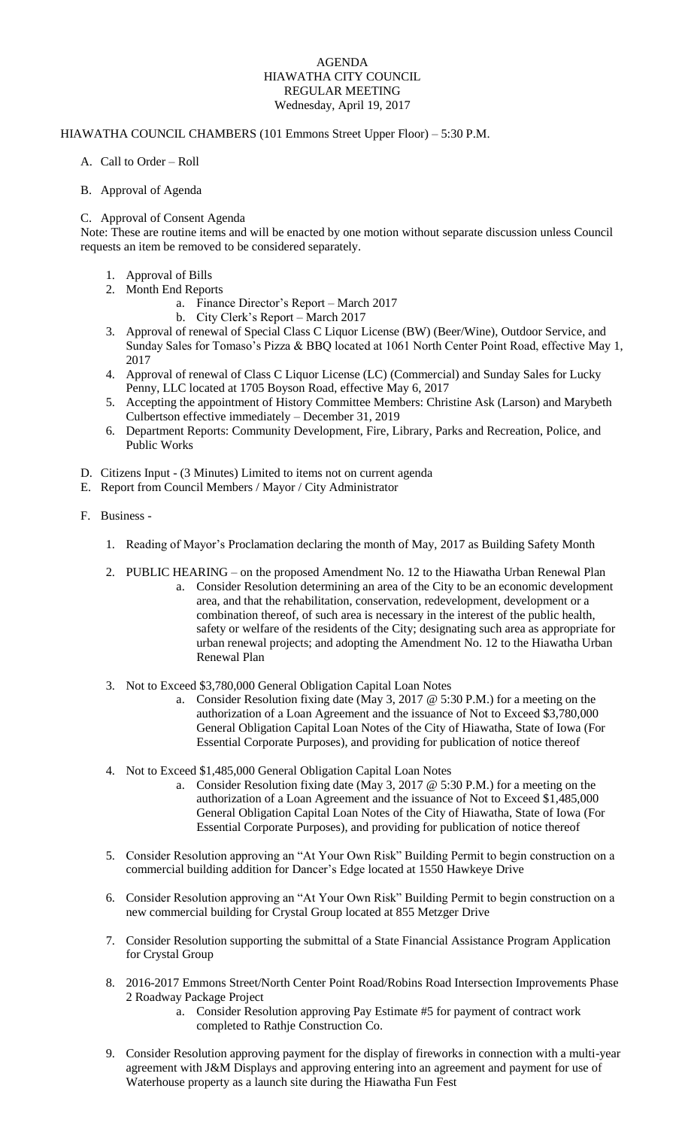## AGENDA HIAWATHA CITY COUNCIL REGULAR MEETING Wednesday, April 19, 2017

## HIAWATHA COUNCIL CHAMBERS (101 Emmons Street Upper Floor) – 5:30 P.M.

- A. Call to Order Roll
- B. Approval of Agenda

## C. Approval of Consent Agenda

Note: These are routine items and will be enacted by one motion without separate discussion unless Council requests an item be removed to be considered separately.

- 1. Approval of Bills
- 2. Month End Reports
	- a. Finance Director's Report March 2017
		- b. City Clerk's Report March 2017
- 3. Approval of renewal of Special Class C Liquor License (BW) (Beer/Wine), Outdoor Service, and Sunday Sales for Tomaso's Pizza & BBQ located at 1061 North Center Point Road, effective May 1, 2017
- 4. Approval of renewal of Class C Liquor License (LC) (Commercial) and Sunday Sales for Lucky Penny, LLC located at 1705 Boyson Road, effective May 6, 2017
- 5. Accepting the appointment of History Committee Members: Christine Ask (Larson) and Marybeth Culbertson effective immediately – December 31, 2019
- 6. Department Reports: Community Development, Fire, Library, Parks and Recreation, Police, and Public Works
- D. Citizens Input (3 Minutes) Limited to items not on current agenda
- E. Report from Council Members / Mayor / City Administrator
- F. Business
	- 1. Reading of Mayor's Proclamation declaring the month of May, 2017 as Building Safety Month
	- 2. PUBLIC HEARING on the proposed Amendment No. 12 to the Hiawatha Urban Renewal Plan
		- a. Consider Resolution determining an area of the City to be an economic development area, and that the rehabilitation, conservation, redevelopment, development or a combination thereof, of such area is necessary in the interest of the public health, safety or welfare of the residents of the City; designating such area as appropriate for urban renewal projects; and adopting the Amendment No. 12 to the Hiawatha Urban Renewal Plan
	- 3. Not to Exceed \$3,780,000 General Obligation Capital Loan Notes
		- a. Consider Resolution fixing date (May 3, 2017 @ 5:30 P.M.) for a meeting on the authorization of a Loan Agreement and the issuance of Not to Exceed \$3,780,000 General Obligation Capital Loan Notes of the City of Hiawatha, State of Iowa (For Essential Corporate Purposes), and providing for publication of notice thereof
	- 4. Not to Exceed \$1,485,000 General Obligation Capital Loan Notes
		- a. Consider Resolution fixing date (May 3, 2017 @ 5:30 P.M.) for a meeting on the authorization of a Loan Agreement and the issuance of Not to Exceed \$1,485,000 General Obligation Capital Loan Notes of the City of Hiawatha, State of Iowa (For Essential Corporate Purposes), and providing for publication of notice thereof
	- 5. Consider Resolution approving an "At Your Own Risk" Building Permit to begin construction on a commercial building addition for Dancer's Edge located at 1550 Hawkeye Drive
	- 6. Consider Resolution approving an "At Your Own Risk" Building Permit to begin construction on a new commercial building for Crystal Group located at 855 Metzger Drive
	- 7. Consider Resolution supporting the submittal of a State Financial Assistance Program Application for Crystal Group
	- 8. 2016-2017 Emmons Street/North Center Point Road/Robins Road Intersection Improvements Phase 2 Roadway Package Project
		- a. Consider Resolution approving Pay Estimate #5 for payment of contract work completed to Rathje Construction Co.
	- 9. Consider Resolution approving payment for the display of fireworks in connection with a multi-year agreement with J&M Displays and approving entering into an agreement and payment for use of Waterhouse property as a launch site during the Hiawatha Fun Fest